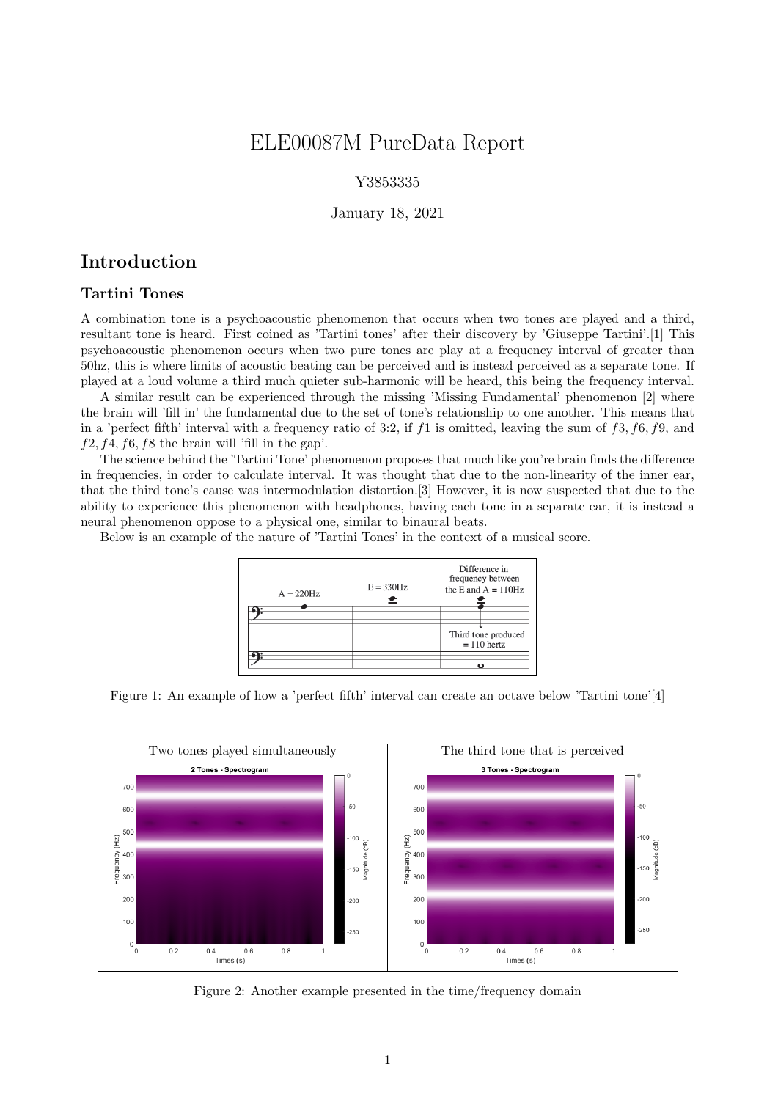# ELE00087M PureData Report

### Y3853335

#### January 18, 2021

## Introduction

### Tartini Tones

A combination tone is a psychoacoustic phenomenon that occurs when two tones are played and a third, resultant tone is heard. First coined as 'Tartini tones' after their discovery by 'Giuseppe Tartini'.[1] This psychoacoustic phenomenon occurs when two pure tones are play at a frequency interval of greater than 50hz, this is where limits of acoustic beating can be perceived and is instead perceived as a separate tone. If played at a loud volume a third much quieter sub-harmonic will be heard, this being the frequency interval.

A similar result can be experienced through the missing 'Missing Fundamental' phenomenon [2] where the brain will 'fill in' the fundamental due to the set of tone's relationship to one another. This means that in a 'perfect fifth' interval with a frequency ratio of 3:2, if  $f_1$  is omitted, leaving the sum of  $f_3$ ,  $f_6$ ,  $f_9$ , and  $f2, f4, f6, f8$  the brain will 'fill in the gap'.

The science behind the 'Tartini Tone' phenomenon proposes that much like you're brain finds the difference in frequencies, in order to calculate interval. It was thought that due to the non-linearity of the inner ear, that the third tone's cause was intermodulation distortion.[3] However, it is now suspected that due to the ability to experience this phenomenon with headphones, having each tone in a separate ear, it is instead a neural phenomenon oppose to a physical one, similar to binaural beats.

Below is an example of the nature of 'Tartini Tones' in the context of a musical score.



Figure 1: An example of how a 'perfect fifth' interval can create an octave below 'Tartini tone'[4]



Figure 2: Another example presented in the time/frequency domain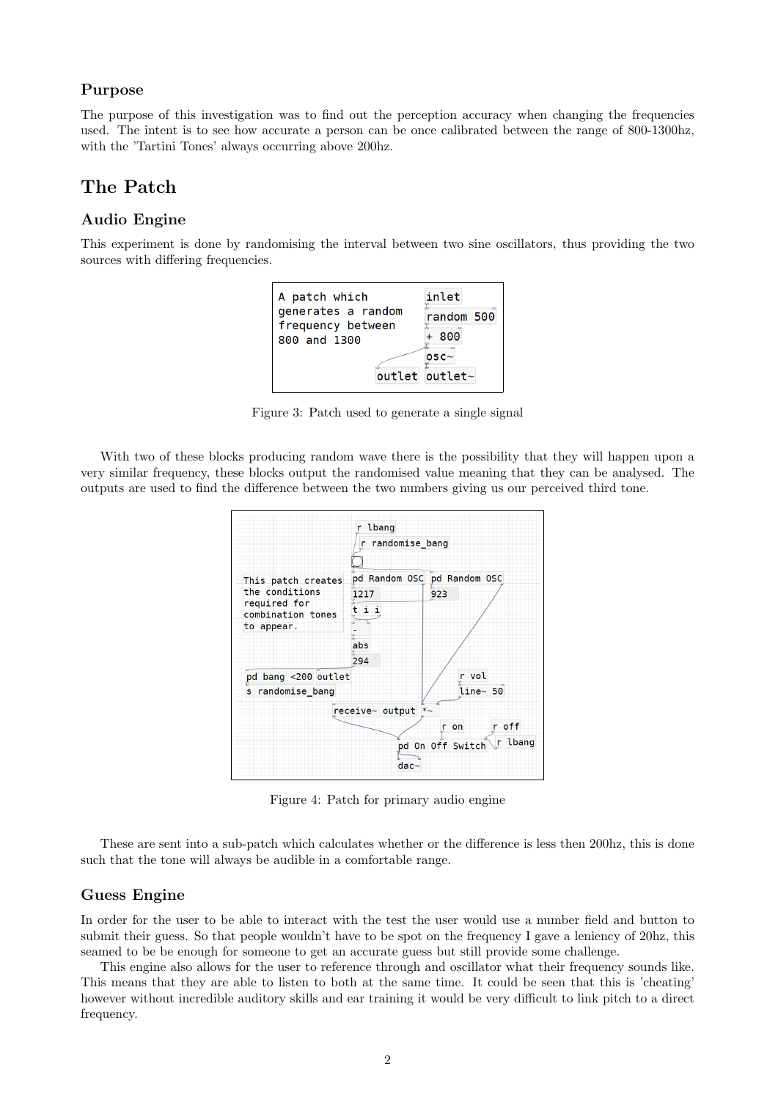#### Purpose

The purpose of this investigation was to find out the perception accuracy when changing the frequencies used. The intent is to see how accurate a person can be once calibrated between the range of 800-1300hz, with the 'Tartini Tones' always occurring above 200hz.

# The Patch

#### Audio Engine

This experiment is done by randomising the interval between two sine oscillators, thus providing the two sources with differing frequencies.



Figure 3: Patch used to generate a single signal

With two of these blocks producing random wave there is the possibility that they will happen upon a very similar frequency, these blocks output the randomised value meaning that they can be analysed. The outputs are used to find the difference between the two numbers giving us our perceived third tone.



Figure 4: Patch for primary audio engine

These are sent into a sub-patch which calculates whether or the difference is less then 200hz, this is done such that the tone will always be audible in a comfortable range.

#### Guess Engine

In order for the user to be able to interact with the test the user would use a number field and button to submit their guess. So that people wouldn't have to be spot on the frequency I gave a leniency of 20hz, this seamed to be be enough for someone to get an accurate guess but still provide some challenge.

This engine also allows for the user to reference through and oscillator what their frequency sounds like. This means that they are able to listen to both at the same time. It could be seen that this is 'cheating' however without incredible auditory skills and ear training it would be very difficult to link pitch to a direct frequency.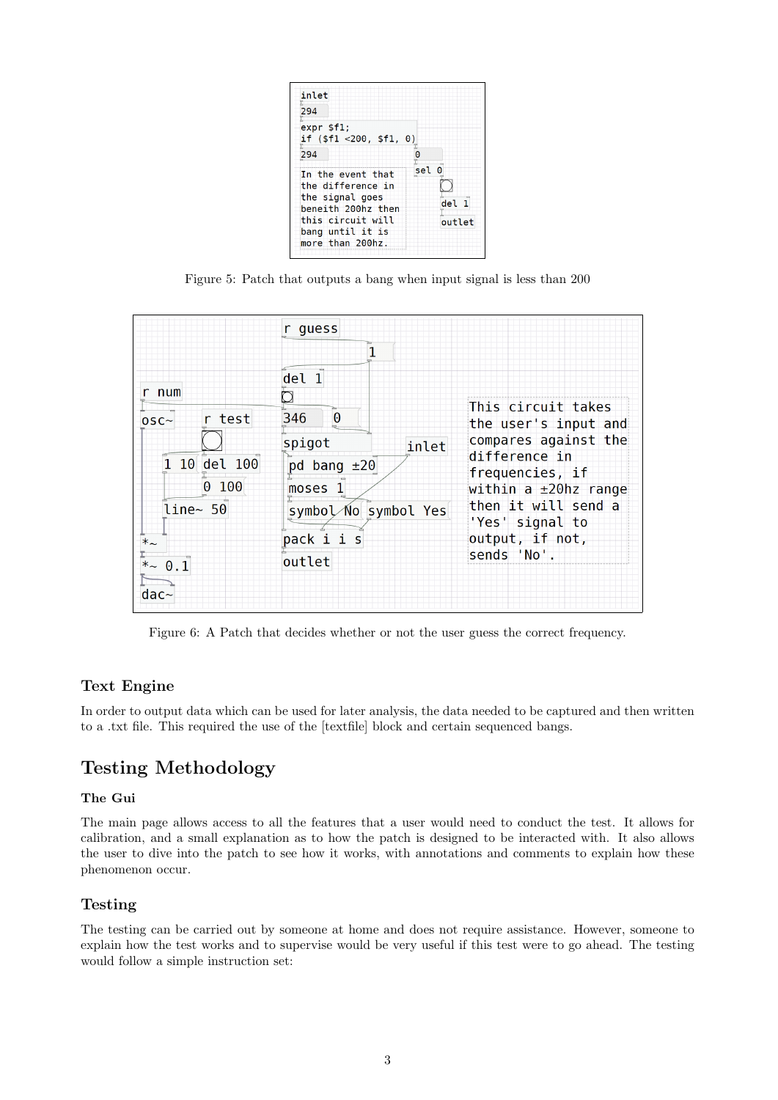

Figure 5: Patch that outputs a bang when input signal is less than 200

|                                                                                                               | r guess                                                                                                                    |                                                                                                                                                                                                            |
|---------------------------------------------------------------------------------------------------------------|----------------------------------------------------------------------------------------------------------------------------|------------------------------------------------------------------------------------------------------------------------------------------------------------------------------------------------------------|
| r num<br>$\equiv$ r test<br>$0SC\sim$<br>1 10 del 100<br>0 100<br>$line<$ 50<br>$*_{\sim}$<br>$*$ 0.1<br>dac~ | del 1<br>$\theta$<br>346<br>spigot<br>inlet<br>pd bang $\pm 20$<br>moses 1<br>symbol No symbol Yes<br>pack i i s<br>outlet | This circuit takes<br>the user's input and<br>compares against the<br>difference in<br>frequencies, if<br>within a ±20hz range<br>then it will send a<br>'Yes' signal to<br>output, if not,<br>sends 'No'. |

Figure 6: A Patch that decides whether or not the user guess the correct frequency.

# Text Engine

In order to output data which can be used for later analysis, the data needed to be captured and then written to a .txt file. This required the use of the [textfile] block and certain sequenced bangs.

# Testing Methodology

## The Gui

The main page allows access to all the features that a user would need to conduct the test. It allows for calibration, and a small explanation as to how the patch is designed to be interacted with. It also allows the user to dive into the patch to see how it works, with annotations and comments to explain how these phenomenon occur.

# Testing

The testing can be carried out by someone at home and does not require assistance. However, someone to explain how the test works and to supervise would be very useful if this test were to go ahead. The testing would follow a simple instruction set: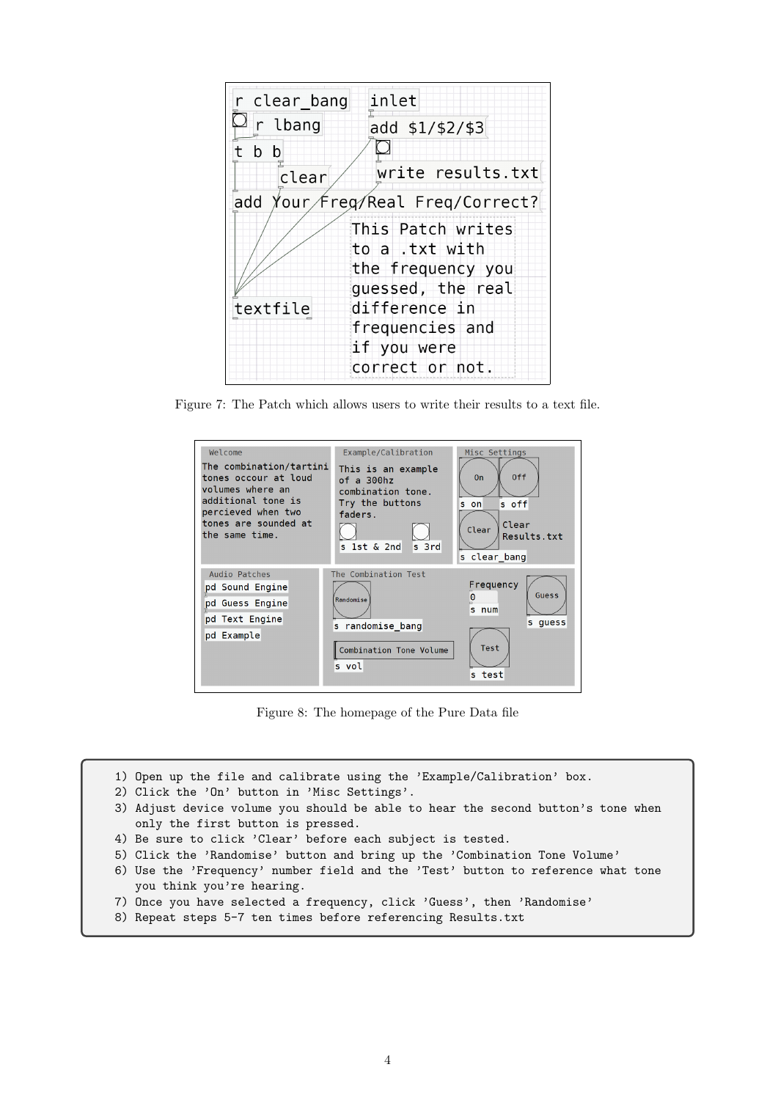| inlet<br>r clear bang            |                   |  |
|----------------------------------|-------------------|--|
| r lbang                          | add \$1/\$2/\$3   |  |
| b b                              |                   |  |
| clear                            | write results.txt |  |
| add Your freg Real Freq Correct? |                   |  |
|                                  | This Patch writes |  |
| to a .txt with                   |                   |  |
|                                  | the frequency you |  |
|                                  | guessed, the real |  |
| textfile                         | difference in     |  |
|                                  | frequencies and   |  |
|                                  | if you were       |  |
|                                  | correct or not.   |  |

Figure 7: The Patch which allows users to write their results to a text file.



Figure 8: The homepage of the Pure Data file

- 1) Open up the file and calibrate using the 'Example/Calibration' box.
- 2) Click the 'On' button in 'Misc Settings'.
- 3) Adjust device volume you should be able to hear the second button's tone when only the first button is pressed.
- 4) Be sure to click 'Clear' before each subject is tested.
- 5) Click the 'Randomise' button and bring up the 'Combination Tone Volume'
- 6) Use the 'Frequency' number field and the 'Test' button to reference what tone you think you're hearing.
- 7) Once you have selected a frequency, click 'Guess', then 'Randomise'
- 8) Repeat steps 5-7 ten times before referencing Results.txt